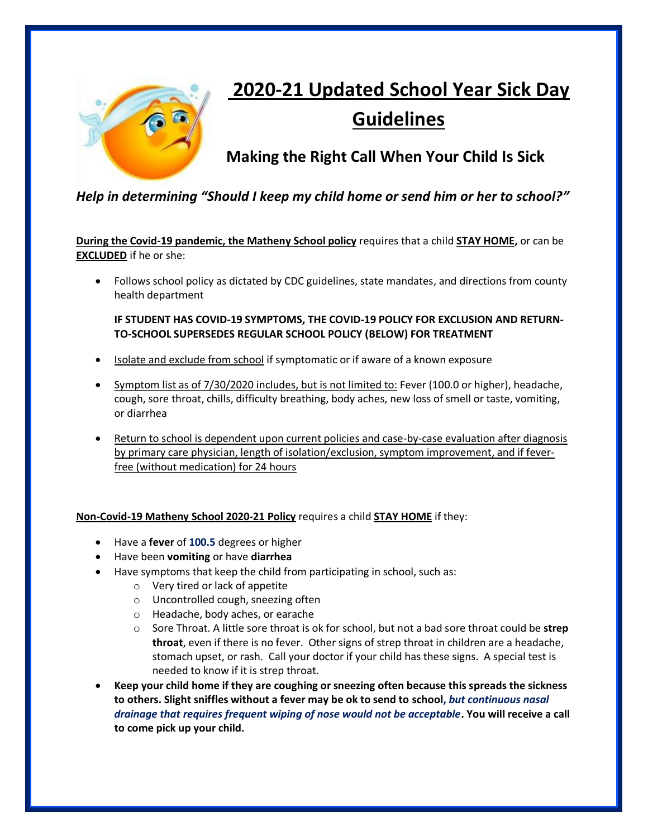

# **2020-21 Updated School Year Sick Day Guidelines**

**Making the Right Call When Your Child Is Sick**

## *Help in determining "Should I keep my child home or send him or her to school?"*

**During the Covid-19 pandemic, the Matheny School policy** requires that a child **STAY HOME,** or can be **EXCLUDED** if he or she:

• Follows school policy as dictated by CDC guidelines, state mandates, and directions from county health department

#### **IF STUDENT HAS COVID-19 SYMPTOMS, THE COVID-19 POLICY FOR EXCLUSION AND RETURN-TO-SCHOOL SUPERSEDES REGULAR SCHOOL POLICY (BELOW) FOR TREATMENT**

- Isolate and exclude from school if symptomatic or if aware of a known exposure
- Symptom list as of 7/30/2020 includes, but is not limited to: Fever (100.0 or higher), headache, cough, sore throat, chills, difficulty breathing, body aches, new loss of smell or taste, vomiting, or diarrhea
- Return to school is dependent upon current policies and case-by-case evaluation after diagnosis by primary care physician, length of isolation/exclusion, symptom improvement, and if feverfree (without medication) for 24 hours

#### **Non-Covid-19 Matheny School 2020-21 Policy** requires a child **STAY HOME** if they:

- Have a **fever** of **100.5** degrees or higher
- Have been **vomiting** or have **diarrhea**
- Have symptoms that keep the child from participating in school, such as:
	- o Very tired or lack of appetite
	- o Uncontrolled cough, sneezing often
	- o Headache, body aches, or earache
	- o Sore Throat. A little sore throat is ok for school, but not a bad sore throat could be **strep throat**, even if there is no fever. Other signs of strep throat in children are a headache, stomach upset, or rash. Call your doctor if your child has these signs. A special test is needed to know if it is strep throat.
- **Keep your child home if they are coughing or sneezing often because this spreads the sickness to others. Slight sniffles without a fever may be ok to send to school,** *but continuous nasal drainage that requires frequent wiping of nose would not be acceptable***. You will receive a call to come pick up your child.**